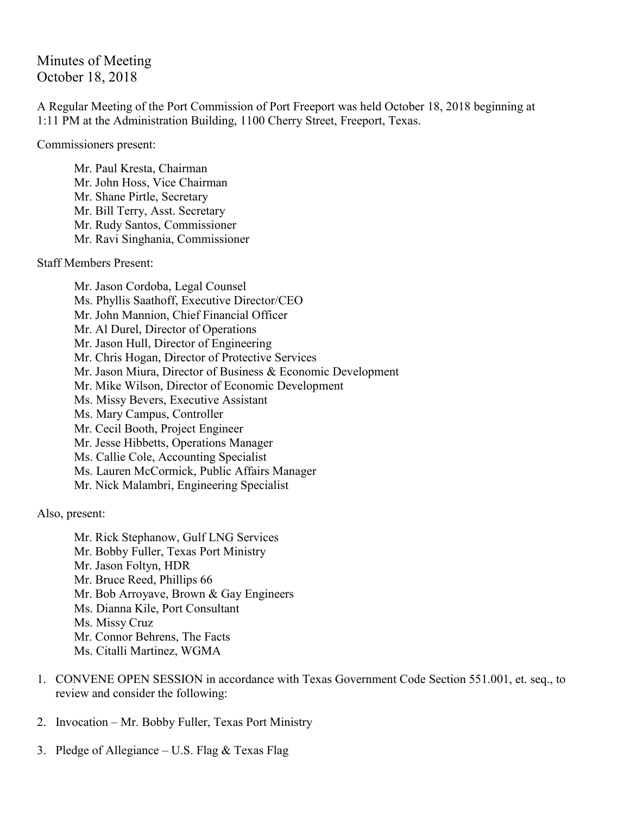Minutes of Meeting October 18, 2018

A Regular Meeting of the Port Commission of Port Freeport was held October 18, 2018 beginning at 1:11 PM at the Administration Building, 1100 Cherry Street, Freeport, Texas.

Commissioners present:

Mr. Paul Kresta, Chairman Mr. John Hoss, Vice Chairman Mr. Shane Pirtle, Secretary Mr. Bill Terry, Asst. Secretary Mr. Rudy Santos, Commissioner Mr. Ravi Singhania, Commissioner

Staff Members Present:

Mr. Jason Cordoba, Legal Counsel Ms. Phyllis Saathoff, Executive Director/CEO Mr. John Mannion, Chief Financial Officer Mr. Al Durel, Director of Operations Mr. Jason Hull, Director of Engineering Mr. Chris Hogan, Director of Protective Services Mr. Jason Miura, Director of Business & Economic Development Mr. Mike Wilson, Director of Economic Development Ms. Missy Bevers, Executive Assistant Ms. Mary Campus, Controller Mr. Cecil Booth, Project Engineer Mr. Jesse Hibbetts, Operations Manager Ms. Callie Cole, Accounting Specialist Ms. Lauren McCormick, Public Affairs Manager Mr. Nick Malambri, Engineering Specialist

Also, present:

Mr. Rick Stephanow, Gulf LNG Services Mr. Bobby Fuller, Texas Port Ministry Mr. Jason Foltyn, HDR Mr. Bruce Reed, Phillips 66 Mr. Bob Arroyave, Brown & Gay Engineers Ms. Dianna Kile, Port Consultant Ms. Missy Cruz Mr. Connor Behrens, The Facts Ms. Citalli Martinez, WGMA

- 1. CONVENE OPEN SESSION in accordance with Texas Government Code Section 551.001, et. seq., to review and consider the following:
- 2. Invocation Mr. Bobby Fuller, Texas Port Ministry
- 3. Pledge of Allegiance U.S. Flag  $&$  Texas Flag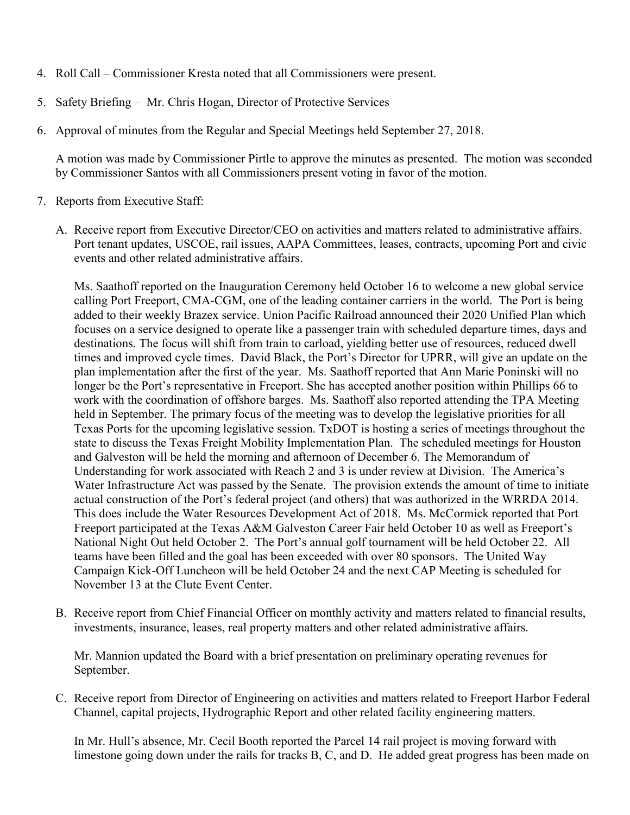- 4. Roll Call Commissioner Kresta noted that all Commissioners were present.
- 5. Safety Briefing Mr. Chris Hogan, Director of Protective Services
- 6. Approval of minutes from the Regular and Special Meetings held September 27, 2018.

A motion was made by Commissioner Pirtle to approve the minutes as presented. The motion was seconded by Commissioner Santos with all Commissioners present voting in favor of the motion.

- 7. Reports from Executive Staff:
	- A. Receive report from Executive Director/CEO on activities and matters related to administrative affairs. Port tenant updates, USCOE, rail issues, AAPA Committees, leases, contracts, upcoming Port and civic events and other related administrative affairs.

Ms. Saathoff reported on the Inauguration Ceremony held October 16 to welcome a new global service calling Port Freeport, CMA-CGM, one of the leading container carriers in the world. The Port is being added to their weekly Brazex service. Union Pacific Railroad announced their 2020 Unified Plan which focuses on a service designed to operate like a passenger train with scheduled departure times, days and destinations. The focus will shift from train to carload, yielding better use of resources, reduced dwell times and improved cycle times. David Black, the Port's Director for UPRR, will give an update on the plan implementation after the first of the year. Ms. Saathoff reported that Ann Marie Poninski will no longer be the Port's representative in Freeport. She has accepted another position within Phillips 66 to work with the coordination of offshore barges. Ms. Saathoff also reported attending the TPA Meeting held in September. The primary focus of the meeting was to develop the legislative priorities for all Texas Ports for the upcoming legislative session. TxDOT is hosting a series of meetings throughout the state to discuss the Texas Freight Mobility Implementation Plan. The scheduled meetings for Houston and Galveston will be held the morning and afternoon of December 6. The Memorandum of Understanding for work associated with Reach 2 and 3 is under review at Division. The America's Water Infrastructure Act was passed by the Senate. The provision extends the amount of time to initiate actual construction of the Port's federal project (and others) that was authorized in the WRRDA 2014. This does include the Water Resources Development Act of 2018. Ms. McCormick reported that Port Freeport participated at the Texas A&M Galveston Career Fair held October 10 as well as Freeport's National Night Out held October 2. The Port's annual golf tournament will be held October 22. All teams have been filled and the goal has been exceeded with over 80 sponsors. The United Way Campaign Kick-Off Luncheon will be held October 24 and the next CAP Meeting is scheduled for November 13 at the Clute Event Center.

B. Receive report from Chief Financial Officer on monthly activity and matters related to financial results, investments, insurance, leases, real property matters and other related administrative affairs.

Mr. Mannion updated the Board with a brief presentation on preliminary operating revenues for September.

C. Receive report from Director of Engineering on activities and matters related to Freeport Harbor Federal Channel, capital projects, Hydrographic Report and other related facility engineering matters.

In Mr. Hull's absence, Mr. Cecil Booth reported the Parcel 14 rail project is moving forward with limestone going down under the rails for tracks B, C, and D. He added great progress has been made on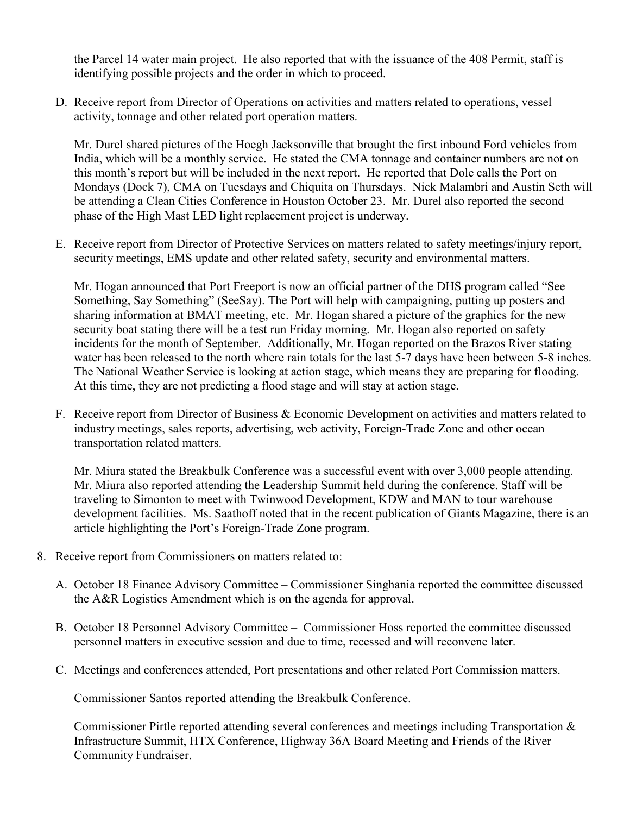the Parcel 14 water main project. He also reported that with the issuance of the 408 Permit, staff is identifying possible projects and the order in which to proceed.

D. Receive report from Director of Operations on activities and matters related to operations, vessel activity, tonnage and other related port operation matters.

Mr. Durel shared pictures of the Hoegh Jacksonville that brought the first inbound Ford vehicles from India, which will be a monthly service. He stated the CMA tonnage and container numbers are not on this month's report but will be included in the next report. He reported that Dole calls the Port on Mondays (Dock 7), CMA on Tuesdays and Chiquita on Thursdays. Nick Malambri and Austin Seth will be attending a Clean Cities Conference in Houston October 23. Mr. Durel also reported the second phase of the High Mast LED light replacement project is underway.

E. Receive report from Director of Protective Services on matters related to safety meetings/injury report, security meetings, EMS update and other related safety, security and environmental matters.

Mr. Hogan announced that Port Freeport is now an official partner of the DHS program called "See Something, Say Something" (SeeSay). The Port will help with campaigning, putting up posters and sharing information at BMAT meeting, etc. Mr. Hogan shared a picture of the graphics for the new security boat stating there will be a test run Friday morning. Mr. Hogan also reported on safety incidents for the month of September. Additionally, Mr. Hogan reported on the Brazos River stating water has been released to the north where rain totals for the last 5-7 days have been between 5-8 inches. The National Weather Service is looking at action stage, which means they are preparing for flooding. At this time, they are not predicting a flood stage and will stay at action stage.

F. Receive report from Director of Business & Economic Development on activities and matters related to industry meetings, sales reports, advertising, web activity, Foreign-Trade Zone and other ocean transportation related matters.

Mr. Miura stated the Breakbulk Conference was a successful event with over 3,000 people attending. Mr. Miura also reported attending the Leadership Summit held during the conference. Staff will be traveling to Simonton to meet with Twinwood Development, KDW and MAN to tour warehouse development facilities. Ms. Saathoff noted that in the recent publication of Giants Magazine, there is an article highlighting the Port's Foreign-Trade Zone program.

- 8. Receive report from Commissioners on matters related to:
	- A. October 18 Finance Advisory Committee Commissioner Singhania reported the committee discussed the A&R Logistics Amendment which is on the agenda for approval.
	- B. October 18 Personnel Advisory Committee Commissioner Hoss reported the committee discussed personnel matters in executive session and due to time, recessed and will reconvene later.
	- C. Meetings and conferences attended, Port presentations and other related Port Commission matters.

Commissioner Santos reported attending the Breakbulk Conference.

Commissioner Pirtle reported attending several conferences and meetings including Transportation & Infrastructure Summit, HTX Conference, Highway 36A Board Meeting and Friends of the River Community Fundraiser.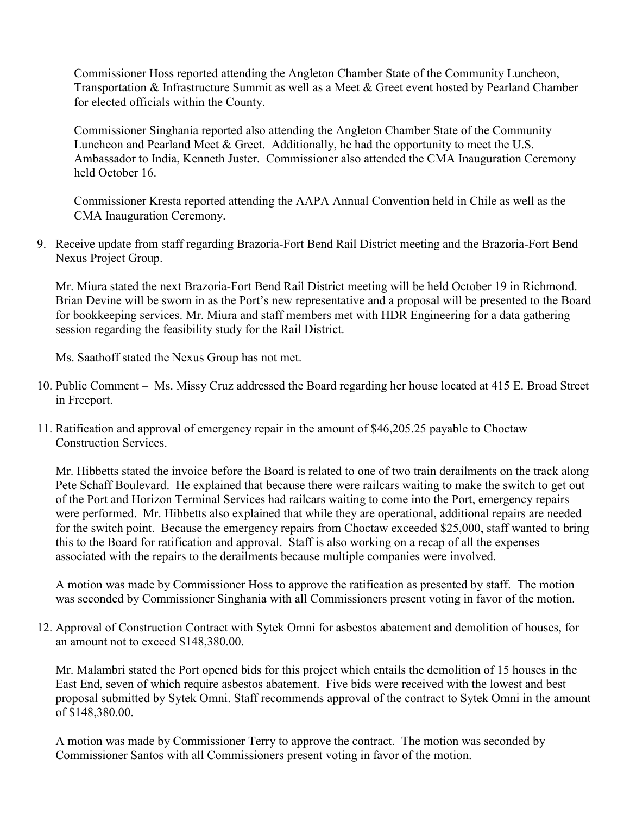Commissioner Hoss reported attending the Angleton Chamber State of the Community Luncheon, Transportation & Infrastructure Summit as well as a Meet & Greet event hosted by Pearland Chamber for elected officials within the County.

Commissioner Singhania reported also attending the Angleton Chamber State of the Community Luncheon and Pearland Meet & Greet. Additionally, he had the opportunity to meet the U.S. Ambassador to India, Kenneth Juster. Commissioner also attended the CMA Inauguration Ceremony held October 16.

Commissioner Kresta reported attending the AAPA Annual Convention held in Chile as well as the CMA Inauguration Ceremony.

9. Receive update from staff regarding Brazoria-Fort Bend Rail District meeting and the Brazoria-Fort Bend Nexus Project Group.

Mr. Miura stated the next Brazoria-Fort Bend Rail District meeting will be held October 19 in Richmond. Brian Devine will be sworn in as the Port's new representative and a proposal will be presented to the Board for bookkeeping services. Mr. Miura and staff members met with HDR Engineering for a data gathering session regarding the feasibility study for the Rail District.

Ms. Saathoff stated the Nexus Group has not met.

- 10. Public Comment Ms. Missy Cruz addressed the Board regarding her house located at 415 E. Broad Street in Freeport.
- 11. Ratification and approval of emergency repair in the amount of \$46,205.25 payable to Choctaw Construction Services.

Mr. Hibbetts stated the invoice before the Board is related to one of two train derailments on the track along Pete Schaff Boulevard. He explained that because there were railcars waiting to make the switch to get out of the Port and Horizon Terminal Services had railcars waiting to come into the Port, emergency repairs were performed. Mr. Hibbetts also explained that while they are operational, additional repairs are needed for the switch point. Because the emergency repairs from Choctaw exceeded \$25,000, staff wanted to bring this to the Board for ratification and approval. Staff is also working on a recap of all the expenses associated with the repairs to the derailments because multiple companies were involved.

A motion was made by Commissioner Hoss to approve the ratification as presented by staff. The motion was seconded by Commissioner Singhania with all Commissioners present voting in favor of the motion.

12. Approval of Construction Contract with Sytek Omni for asbestos abatement and demolition of houses, for an amount not to exceed \$148,380.00.

Mr. Malambri stated the Port opened bids for this project which entails the demolition of 15 houses in the East End, seven of which require asbestos abatement. Five bids were received with the lowest and best proposal submitted by Sytek Omni. Staff recommends approval of the contract to Sytek Omni in the amount of \$148,380.00.

A motion was made by Commissioner Terry to approve the contract. The motion was seconded by Commissioner Santos with all Commissioners present voting in favor of the motion.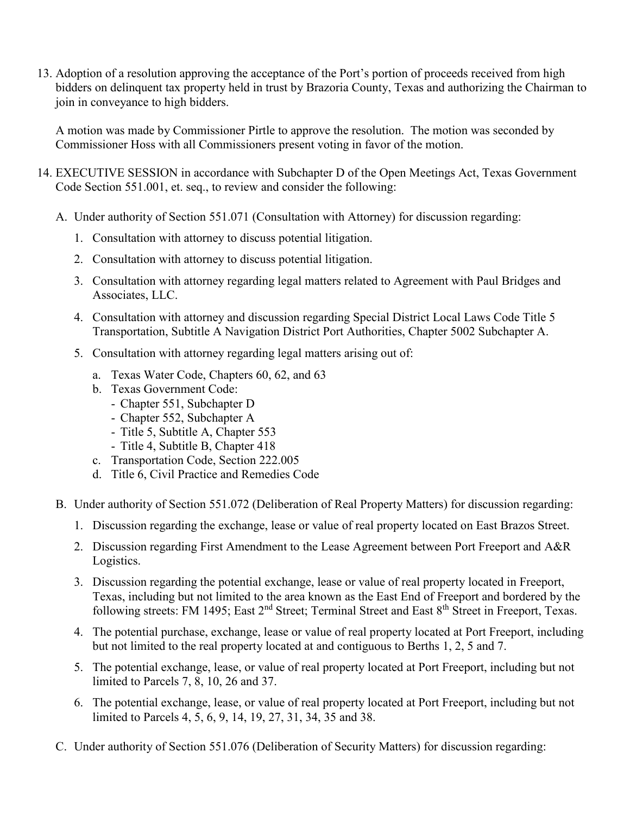13. Adoption of a resolution approving the acceptance of the Port's portion of proceeds received from high bidders on delinquent tax property held in trust by Brazoria County, Texas and authorizing the Chairman to join in conveyance to high bidders.

A motion was made by Commissioner Pirtle to approve the resolution. The motion was seconded by Commissioner Hoss with all Commissioners present voting in favor of the motion.

- 14. EXECUTIVE SESSION in accordance with Subchapter D of the Open Meetings Act, Texas Government Code Section 551.001, et. seq., to review and consider the following:
	- A. Under authority of Section 551.071 (Consultation with Attorney) for discussion regarding:
		- 1. Consultation with attorney to discuss potential litigation.
		- 2. Consultation with attorney to discuss potential litigation.
		- 3. Consultation with attorney regarding legal matters related to Agreement with Paul Bridges and Associates, LLC.
		- 4. Consultation with attorney and discussion regarding Special District Local Laws Code Title 5 Transportation, Subtitle A Navigation District Port Authorities, Chapter 5002 Subchapter A.
		- 5. Consultation with attorney regarding legal matters arising out of:
			- a. Texas Water Code, Chapters 60, 62, and 63
			- b. Texas Government Code:
				- Chapter 551, Subchapter D
				- Chapter 552, Subchapter A
				- Title 5, Subtitle A, Chapter 553
				- Title 4, Subtitle B, Chapter 418
			- c. Transportation Code, Section 222.005
			- d. Title 6, Civil Practice and Remedies Code
	- B. Under authority of Section 551.072 (Deliberation of Real Property Matters) for discussion regarding:
		- 1. Discussion regarding the exchange, lease or value of real property located on East Brazos Street.
		- 2. Discussion regarding First Amendment to the Lease Agreement between Port Freeport and A&R Logistics.
		- 3. Discussion regarding the potential exchange, lease or value of real property located in Freeport, Texas, including but not limited to the area known as the East End of Freeport and bordered by the following streets: FM 1495; East 2<sup>nd</sup> Street; Terminal Street and East 8<sup>th</sup> Street in Freeport, Texas.
		- 4. The potential purchase, exchange, lease or value of real property located at Port Freeport, including but not limited to the real property located at and contiguous to Berths 1, 2, 5 and 7.
		- 5. The potential exchange, lease, or value of real property located at Port Freeport, including but not limited to Parcels 7, 8, 10, 26 and 37.
		- 6. The potential exchange, lease, or value of real property located at Port Freeport, including but not limited to Parcels 4, 5, 6, 9, 14, 19, 27, 31, 34, 35 and 38.
	- C. Under authority of Section 551.076 (Deliberation of Security Matters) for discussion regarding: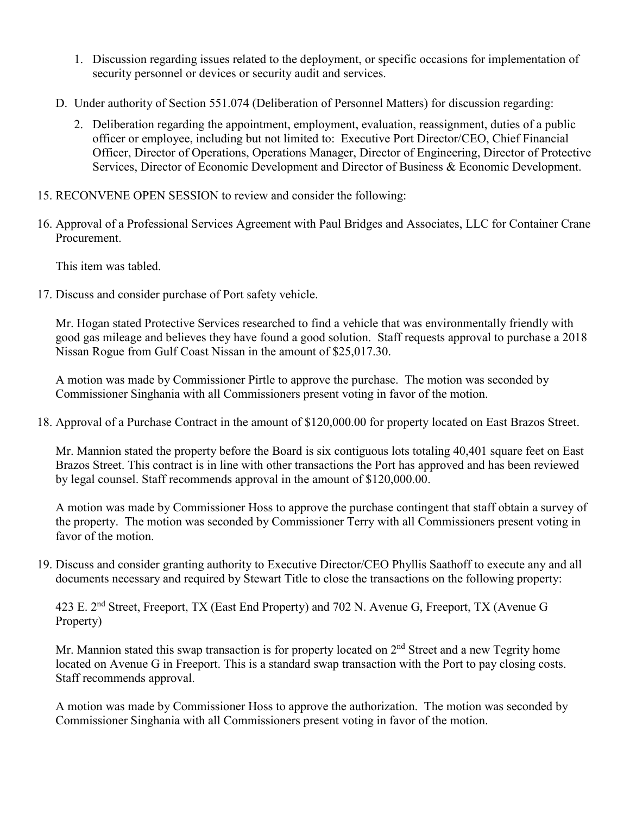- 1. Discussion regarding issues related to the deployment, or specific occasions for implementation of security personnel or devices or security audit and services.
- D. Under authority of Section 551.074 (Deliberation of Personnel Matters) for discussion regarding:
	- 2. Deliberation regarding the appointment, employment, evaluation, reassignment, duties of a public officer or employee, including but not limited to: Executive Port Director/CEO, Chief Financial Officer, Director of Operations, Operations Manager, Director of Engineering, Director of Protective Services, Director of Economic Development and Director of Business & Economic Development.
- 15. RECONVENE OPEN SESSION to review and consider the following:
- 16. Approval of a Professional Services Agreement with Paul Bridges and Associates, LLC for Container Crane Procurement.

This item was tabled.

17. Discuss and consider purchase of Port safety vehicle.

Mr. Hogan stated Protective Services researched to find a vehicle that was environmentally friendly with good gas mileage and believes they have found a good solution. Staff requests approval to purchase a 2018 Nissan Rogue from Gulf Coast Nissan in the amount of \$25,017.30.

A motion was made by Commissioner Pirtle to approve the purchase. The motion was seconded by Commissioner Singhania with all Commissioners present voting in favor of the motion.

18. Approval of a Purchase Contract in the amount of \$120,000.00 for property located on East Brazos Street.

Mr. Mannion stated the property before the Board is six contiguous lots totaling 40,401 square feet on East Brazos Street. This contract is in line with other transactions the Port has approved and has been reviewed by legal counsel. Staff recommends approval in the amount of \$120,000.00.

A motion was made by Commissioner Hoss to approve the purchase contingent that staff obtain a survey of the property. The motion was seconded by Commissioner Terry with all Commissioners present voting in favor of the motion.

19. Discuss and consider granting authority to Executive Director/CEO Phyllis Saathoff to execute any and all documents necessary and required by Stewart Title to close the transactions on the following property:

423 E. 2nd Street, Freeport, TX (East End Property) and 702 N. Avenue G, Freeport, TX (Avenue G Property)

Mr. Mannion stated this swap transaction is for property located on  $2<sup>nd</sup>$  Street and a new Tegrity home located on Avenue G in Freeport. This is a standard swap transaction with the Port to pay closing costs. Staff recommends approval.

A motion was made by Commissioner Hoss to approve the authorization. The motion was seconded by Commissioner Singhania with all Commissioners present voting in favor of the motion.